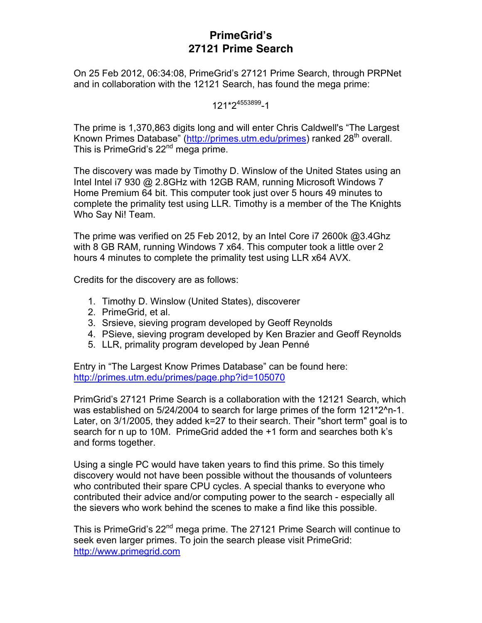# **PrimeGrid's 27121 Prime Search**

On 25 Feb 2012, 06:34:08, PrimeGrid's 27121 Prime Search, through PRPNet and in collaboration with the 12121 Search, has found the mega prime:

## 121\*24553899-1

The prime is 1,370,863 digits long and will enter Chris Caldwell's "The Largest Known Primes Database" (http://primes.utm.edu/primes) ranked 28<sup>th</sup> overall. This is PrimeGrid's 22<sup>nd</sup> mega prime.

The discovery was made by Timothy D. Winslow of the United States using an Intel Intel i7 930 @ 2.8GHz with 12GB RAM, running Microsoft Windows 7 Home Premium 64 bit. This computer took just over 5 hours 49 minutes to complete the primality test using LLR. Timothy is a member of the The Knights Who Say Ni! Team.

The prime was verified on 25 Feb 2012, by an Intel Core i7 2600k @3.4Ghz with 8 GB RAM, running Windows 7 x64. This computer took a little over 2 hours 4 minutes to complete the primality test using LLR x64 AVX.

Credits for the discovery are as follows:

- 1. Timothy D. Winslow (United States), discoverer
- 2. PrimeGrid, et al.
- 3. Srsieve, sieving program developed by Geoff Reynolds
- 4. PSieve, sieving program developed by Ken Brazier and Geoff Reynolds
- 5. LLR, primality program developed by Jean Penné

Entry in "The Largest Know Primes Database" can be found here: http://primes.utm.edu/primes/page.php?id=105070

PrimGrid's 27121 Prime Search is a collaboration with the 12121 Search, which was established on 5/24/2004 to search for large primes of the form 121\*2^n-1. Later, on 3/1/2005, they added k=27 to their search. Their "short term" goal is to search for n up to 10M. PrimeGrid added the +1 form and searches both k's and forms together.

Using a single PC would have taken years to find this prime. So this timely discovery would not have been possible without the thousands of volunteers who contributed their spare CPU cycles. A special thanks to everyone who contributed their advice and/or computing power to the search - especially all the sievers who work behind the scenes to make a find like this possible.

This is PrimeGrid's 22<sup>nd</sup> mega prime. The 27121 Prime Search will continue to seek even larger primes. To join the search please visit PrimeGrid: http://www.primegrid.com